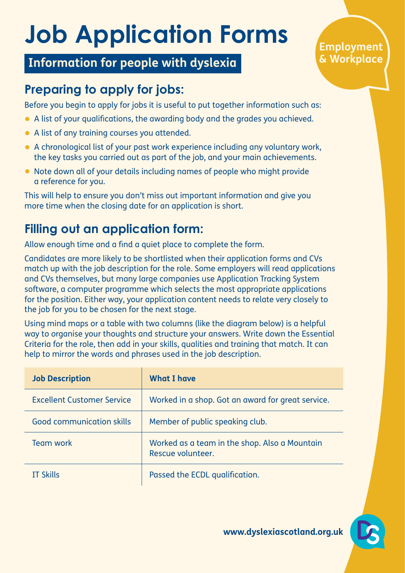# **Job Application Forms**

#### **Information for people with dyslexia**

#### **Employment & Workplace**

## **Preparing to apply for jobs:**

Before you begin to apply for jobs it is useful to put together information such as:

- A list of your qualifications, the awarding body and the grades you achieved.
- A list of any training courses you attended.
- A chronological list of your past work experience including any voluntary work, the key tasks you carried out as part of the job, and your main achievements.
- Note down all of your details including names of people who might provide a reference for you.

This will help to ensure you don't miss out important information and give you more time when the closing date for an application is short.

### **Filling out an application form:**

Allow enough time and a find a quiet place to complete the form.

Candidates are more likely to be shortlisted when their application forms and CVs match up with the job description for the role. Some employers will read applications and CVs themselves, but many large companies use Application Tracking System software, a computer programme which selects the most appropriate applications for the position. Either way, your application content needs to relate very closely to the job for you to be chosen for the next stage.

Using mind maps or a table with two columns (like the diagram below) is a helpful way to organise your thoughts and structure your answers. Write down the Essential Criteria for the role, then add in your skills, qualities and training that match. It can help to mirror the words and phrases used in the job description.

| <b>Job Description</b>            | <b>What I have</b>                                                 |
|-----------------------------------|--------------------------------------------------------------------|
| <b>Excellent Customer Service</b> | Worked in a shop. Got an award for great service.                  |
| <b>Good communication skills</b>  | Member of public speaking club.                                    |
| <b>Team work</b>                  | Worked as a team in the shop. Also a Mountain<br>Rescue volunteer. |
| <b>IT Skills</b>                  | Passed the ECDL qualification.                                     |